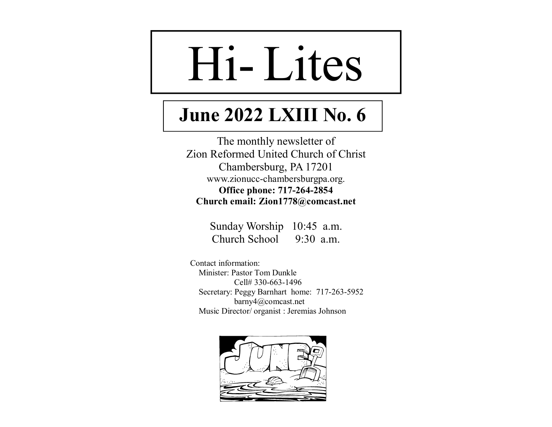# HiLites

## **June 2022 LXIII No. 6**

The monthly newsletter of Zion Reformed United Church of Christ Chambersburg, PA 17201 www.zionucc-chambersburgpa.org. **Office phone: 717-264-2854 Church email: Zion1778@comcast.net** 

> Sunday Worship 10:45 a.m. Church School 9:30 a.m.

 Contact information: Minister: Pastor Tom Dunkle Cell# 330-663-1496 Secretary: Peggy Barnhart home: 717-263-5952 barny4@comcast.net Music Director/ organist : Jeremias Johnson

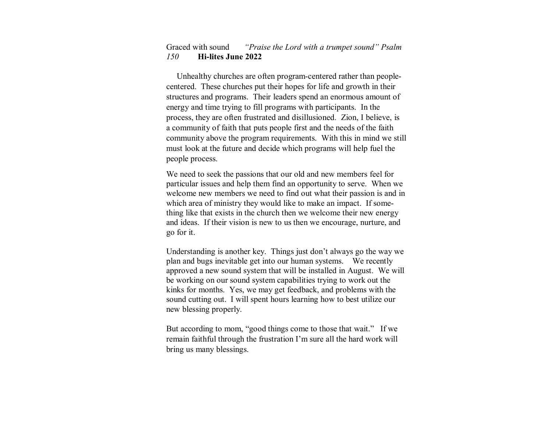#### Graced with sound *"Praise the Lord with a trumpet sound" Psalm 150***Hi-lites June 2022**

 Unhealthy churches are often program-centered rather than peoplecentered. These churches put their hopes for life and growth in their structures and programs. Their leaders spend an enormous amount of energy and time trying to fill programs with participants. In the process, they are often frustrated and disillusioned. Zion, I believe, is a community of faith that puts people first and the needs of the faith community above the program requirements. With this in mind we still must look at the future and decide which programs will help fuel the people process.

We need to seek the passions that our old and new members feel for particular issues and help them find an opportunity to serve. When we welcome new members we need to find out what their passion is and in which area of ministry they would like to make an impact. If something like that exists in the church then we welcome their new energy and ideas. If their vision is new to us then we encourage, nurture, and go for it.

Understanding is another key. Things just don't always go the way we plan and bugs inevitable get into our human systems. We recently approved a new sound system that will be installed in August. We will be working on our sound system capabilities trying to work out the kinks for months. Yes, we may get feedback, and problems with the sound cutting out. I will spent hours learning how to best utilize our new blessing properly.

But according to mom, "good things come to those that wait." If we remain faithful through the frustration I'm sure all the hard work will bring us many blessings.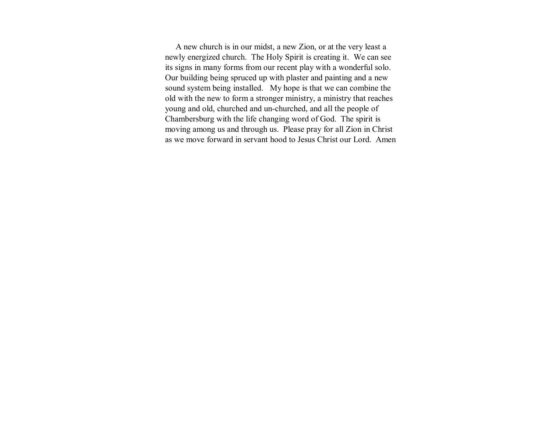A new church is in our midst, a new Zion, or at the very least a newly energized church. The Holy Spirit is creating it. We can see its signs in many forms from our recent play with a wonderful solo. Our building being spruced up with plaster and painting and a new sound system being installed. My hope is that we can combine the old with the new to form a stronger ministry, a ministry that reaches young and old, churched and un-churched, and all the people of Chambersburg with the life changing word of God. The spirit is moving among us and through us. Please pray for all Zion in Christ as we move forward in servant hood to Jesus Christ our Lord. Amen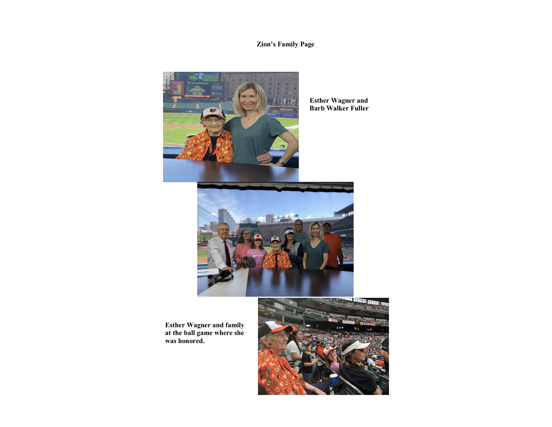#### **Zion's Family Page**



 **Esther Wagner and Barb Walker Fuller** 



**Esther Wagner and family at the ball game where she was honored.** 

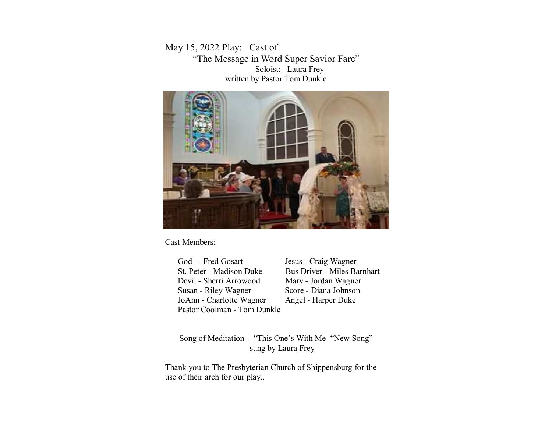May 15, 2022 Play: Cast of "The Message in Word Super Savior Fare" Soloist: Laura Frey written by Pastor Tom Dunkle



Cast Members:

God - Fred Gosart Jesus - Craig Wagner St. Peter - Madison Duke Bus Driver - Miles Barnhart Devil - Sherri Arrowood Mary - Jordan Wagner Susan - Riley Wagner Score - Diana Johnson JoAnn - Charlotte Wagner Angel - Harper Duke Pastor Coolman - Tom Dunkle

Song of Meditation - "This One's With Me "New Song" sung by Laura Frey

Thank you to The Presbyterian Church of Shippensburg for theuse of their arch for our play..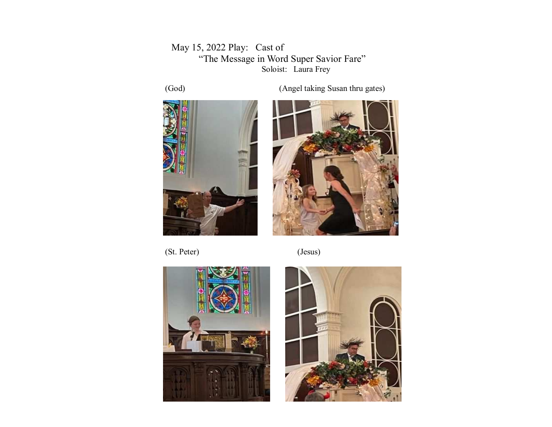May 15, 2022 Play: Cast of "The Message in Word Super Savior Fare" Soloist: Laura Frey







(St. Peter) (Jesus)



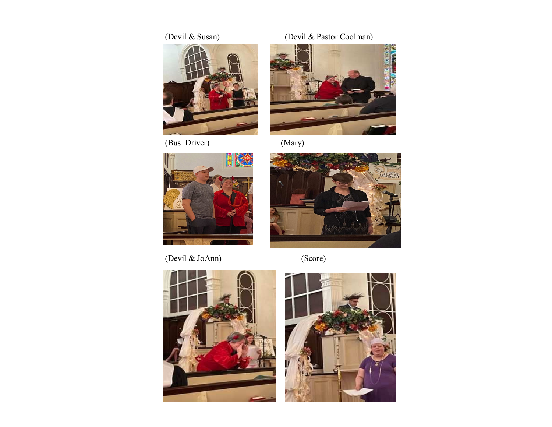

(Bus Driver)

#### (Devil & Susan) (Devil & Pastor Coolman)



(Mary)



(Devil & JoAnn) (Score)



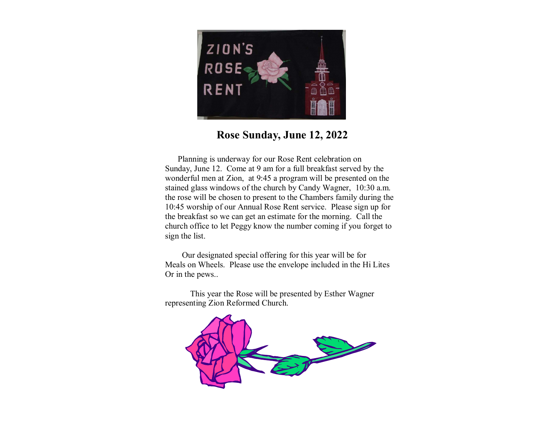

### **Rose Sunday, June 12, 2022**

 Planning is underway for our Rose Rent celebration on Sunday, June 12. Come at 9 am for a full breakfast served by the wonderful men at Zion, at 9:45 a program will be presented on the stained glass windows of the church by Candy Wagner, 10:30 a.m. the rose will be chosen to present to the Chambers family during the 10:45 worship of our Annual Rose Rent service. Please sign up for the breakfast so we can get an estimate for the morning. Call the church office to let Peggy know the number coming if you forget to sign the list.

 Our designated special offering for this year will be for Meals on Wheels. Please use the envelope included in the Hi Lites Or in the pews..

 This year the Rose will be presented by Esther Wagner representing Zion Reformed Church.

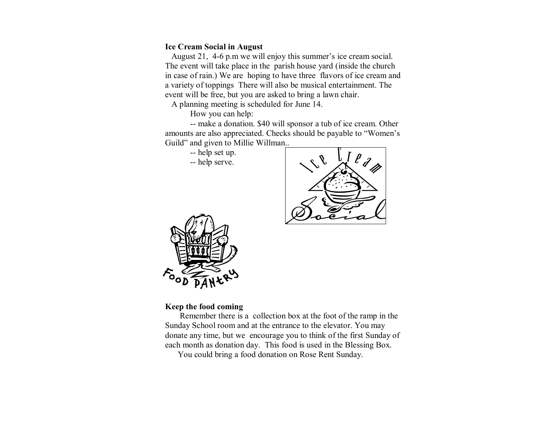#### **Ice Cream Social in August**

 August 21, 4-6 p.m we will enjoy this summer's ice cream social. The event will take place in the parish house yard (inside the church in case of rain.) We are hoping to have three flavors of ice cream and a variety of toppings There will also be musical entertainment. The event will be free, but you are asked to bring a lawn chair.

A planning meeting is scheduled for June 14.

How you can help:

 -- make a donation. \$40 will sponsor a tub of ice cream. Other amounts are also appreciated. Checks should be payable to "Women's Guild" and given to Millie Willman..

-- help set up.

-- help serve.





#### **Keep the food coming**

 Remember there is a collection box at the foot of the ramp in the Sunday School room and at the entrance to the elevator. You may donate any time, but we encourage you to think of the first Sunday of each month as donation day. This food is used in the Blessing Box.

You could bring a food donation on Rose Rent Sunday.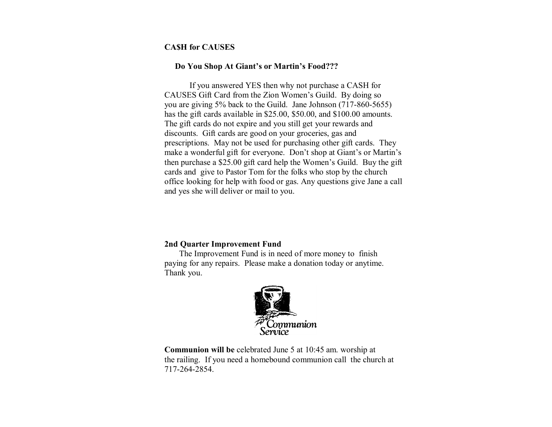#### **CA\$H for CAUSES**

#### **Do You Shop At Giant's or Martin's Food???**

 If you answered YES then why not purchase a CASH for CAUSES Gift Card from the Zion Women's Guild. By doing so you are giving 5% back to the Guild. Jane Johnson (717-860-5655) has the gift cards available in \$25.00, \$50.00, and \$100.00 amounts. The gift cards do not expire and you still get your rewards and discounts. Gift cards are good on your groceries, gas and prescriptions. May not be used for purchasing other gift cards. They make a wonderful gift for everyone. Don't shop at Giant's or Martin's then purchase a \$25.00 gift card help the Women's Guild. Buy the gift cards and give to Pastor Tom for the folks who stop by the church office looking for help with food or gas. Any questions give Jane a call and yes she will deliver or mail to you.

#### **2nd Quarter Improvement Fund**

 The Improvement Fund is in need of more money to finish paying for any repairs. Please make a donation today or anytime. Thank you.



**Communion will be** celebrated June 5 at 10:45 am. worship at the railing. If you need a homebound communion call the church at 717-264-2854.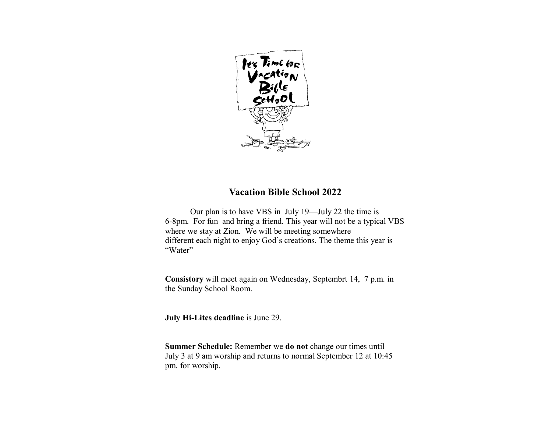

#### **Vacation Bible School 2022**

 Our plan is to have VBS in July 19—July 22 the time is 6-8pm. For fun and bring a friend. This year will not be a typical VBS where we stay at Zion. We will be meeting somewhere different each night to enjoy God's creations. The theme this year is "Water"

**Consistory** will meet again on Wednesday, Septembrt 14, 7 p.m. inthe Sunday School Room.

**July Hi-Lites deadline** is June 29.

**Summer Schedule:** Remember we **do not** change our times until July 3 at 9 am worship and returns to normal September 12 at 10:45 pm. for worship.